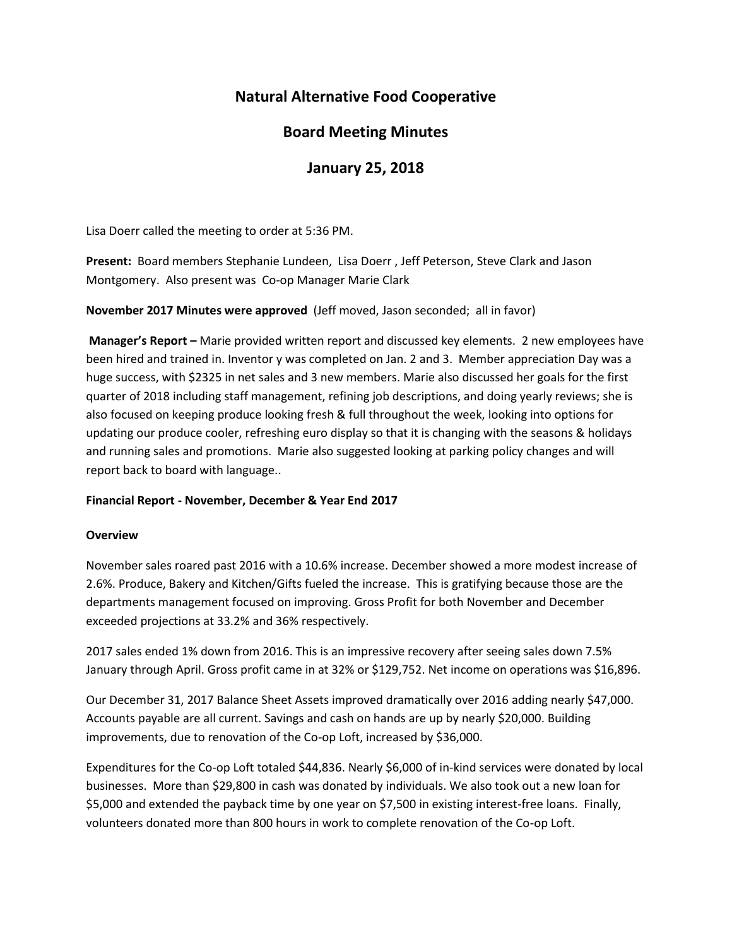# **Natural Alternative Food Cooperative**

## **Board Meeting Minutes**

## **January 25, 2018**

Lisa Doerr called the meeting to order at 5:36 PM.

**Present:** Board members Stephanie Lundeen, Lisa Doerr , Jeff Peterson, Steve Clark and Jason Montgomery. Also present was Co-op Manager Marie Clark

**November 2017 Minutes were approved** (Jeff moved, Jason seconded; all in favor)

**Manager's Report –** Marie provided written report and discussed key elements. 2 new employees have been hired and trained in. Inventor y was completed on Jan. 2 and 3. Member appreciation Day was a huge success, with \$2325 in net sales and 3 new members. Marie also discussed her goals for the first quarter of 2018 including staff management, refining job descriptions, and doing yearly reviews; she is also focused on keeping produce looking fresh & full throughout the week, looking into options for updating our produce cooler, refreshing euro display so that it is changing with the seasons & holidays and running sales and promotions. Marie also suggested looking at parking policy changes and will report back to board with language..

## **Financial Report - November, December & Year End 2017**

### **Overview**

November sales roared past 2016 with a 10.6% increase. December showed a more modest increase of 2.6%. Produce, Bakery and Kitchen/Gifts fueled the increase. This is gratifying because those are the departments management focused on improving. Gross Profit for both November and December exceeded projections at 33.2% and 36% respectively.

2017 sales ended 1% down from 2016. This is an impressive recovery after seeing sales down 7.5% January through April. Gross profit came in at 32% or \$129,752. Net income on operations was \$16,896.

Our December 31, 2017 Balance Sheet Assets improved dramatically over 2016 adding nearly \$47,000. Accounts payable are all current. Savings and cash on hands are up by nearly \$20,000. Building improvements, due to renovation of the Co-op Loft, increased by \$36,000.

Expenditures for the Co-op Loft totaled \$44,836. Nearly \$6,000 of in-kind services were donated by local businesses. More than \$29,800 in cash was donated by individuals. We also took out a new loan for \$5,000 and extended the payback time by one year on \$7,500 in existing interest-free loans. Finally, volunteers donated more than 800 hours in work to complete renovation of the Co-op Loft.